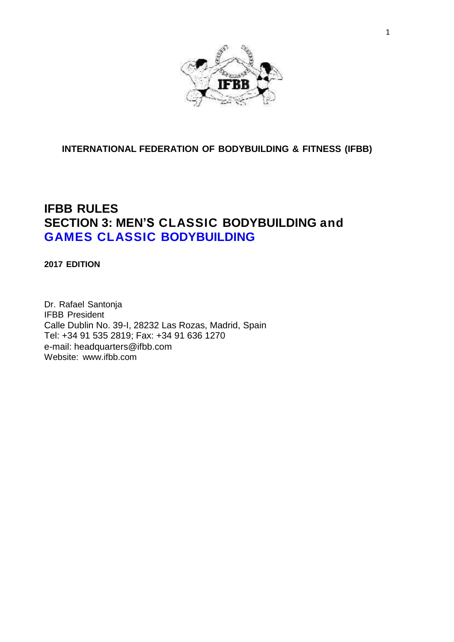

# **INTERNATIONAL FEDERATION OF BODYBUILDING & FITNESS (IFBB)**

# **IFBB RULES SECTION 3: MEN'S CLASSIC BODYBUILDING and GAMES CLASSIC BODYBUILDING**

**2017 EDITION**

Dr. Rafael Santonja IFBB President Calle Dublin No. 39-I, 28232 Las Rozas, Madrid, Spain Tel: +34 91 535 2819; Fax: +34 91 636 1270 e-mail: headquarters@ifbb.com Website: [www.ifbb.com](http://www.ifbb.com/)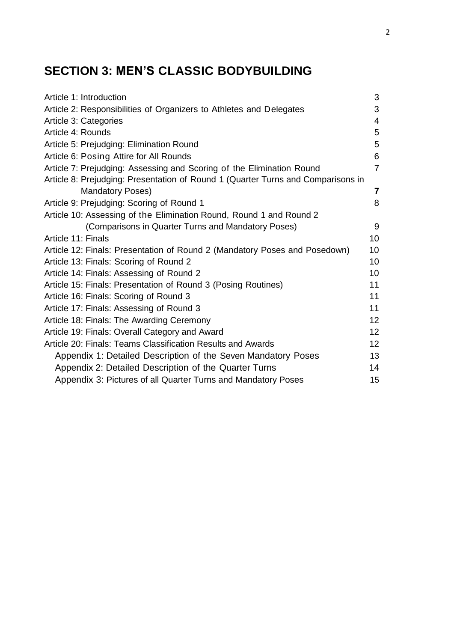# **SECTION 3: MEN'S CLASSIC BODYBUILDING**

| Article 1: Introduction                                                          | 3                       |
|----------------------------------------------------------------------------------|-------------------------|
| Article 2: Responsibilities of Organizers to Athletes and Delegates              | 3                       |
| Article 3: Categories                                                            | $\overline{4}$          |
| Article 4: Rounds                                                                | 5                       |
| Article 5: Prejudging: Elimination Round                                         | 5                       |
| Article 6: Posing Attire for All Rounds                                          | 6                       |
| Article 7: Prejudging: Assessing and Scoring of the Elimination Round            | $\overline{7}$          |
| Article 8: Prejudging: Presentation of Round 1 (Quarter Turns and Comparisons in |                         |
| <b>Mandatory Poses)</b>                                                          | $\overline{\mathbf{r}}$ |
| Article 9: Prejudging: Scoring of Round 1                                        | 8                       |
| Article 10: Assessing of the Elimination Round, Round 1 and Round 2              |                         |
| (Comparisons in Quarter Turns and Mandatory Poses)                               | 9                       |
| Article 11: Finals                                                               | 10 <sup>°</sup>         |
| Article 12: Finals: Presentation of Round 2 (Mandatory Poses and Posedown)       | 10 <sup>°</sup>         |
| Article 13: Finals: Scoring of Round 2                                           | 10 <sup>°</sup>         |
| Article 14: Finals: Assessing of Round 2                                         | 10                      |
| Article 15: Finals: Presentation of Round 3 (Posing Routines)                    | 11                      |
| Article 16: Finals: Scoring of Round 3                                           | 11                      |
| Article 17: Finals: Assessing of Round 3                                         | 11                      |
| Article 18: Finals: The Awarding Ceremony                                        | 12 <sup>2</sup>         |
| Article 19: Finals: Overall Category and Award                                   | 12 <sub>2</sub>         |
| Article 20: Finals: Teams Classification Results and Awards                      | 12 <sup>2</sup>         |
| Appendix 1: Detailed Description of the Seven Mandatory Poses                    | 13                      |
| Appendix 2: Detailed Description of the Quarter Turns                            | 14                      |
| Appendix 3: Pictures of all Quarter Turns and Mandatory Poses                    | 15                      |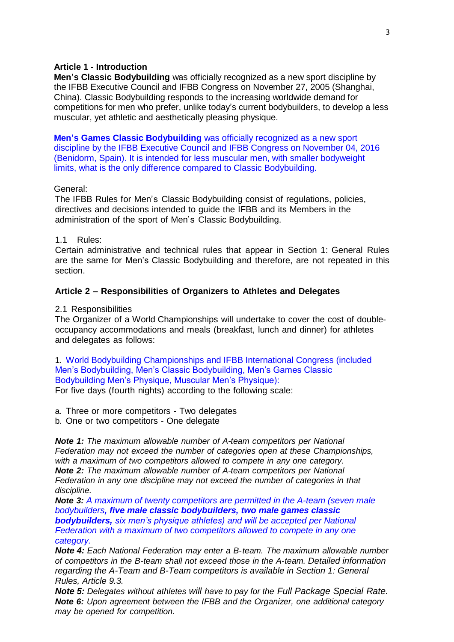# **Article 1 - Introduction**

**Men's Classic Bodybuilding** was officially recognized as a new sport discipline by the IFBB Executive Council and IFBB Congress on November 27, 2005 (Shanghai, China). Classic Bodybuilding responds to the increasing worldwide demand for competitions for men who prefer, unlike today's current bodybuilders, to develop a less muscular, yet athletic and aesthetically pleasing physique.

**Men's Games Classic Bodybuilding** was officially recognized as a new sport discipline by the IFBB Executive Council and IFBB Congress on November 04, 2016 (Benidorm, Spain). It is intended for less muscular men, with smaller bodyweight limits, what is the only difference compared to Classic Bodybuilding.

#### General:

The IFBB Rules for Men's Classic Bodybuilding consist of regulations, policies, directives and decisions intended to guide the IFBB and its Members in the administration of the sport of Men's Classic Bodybuilding.

#### 1.1 Rules:

Certain administrative and technical rules that appear in Section 1: General Rules are the same for Men's Classic Bodybuilding and therefore, are not repeated in this section.

#### **Article 2 – Responsibilities of Organizers to Athletes and Delegates**

#### 2.1 Responsibilities

The Organizer of a World Championships will undertake to cover the cost of doubleoccupancy accommodations and meals (breakfast, lunch and dinner) for athletes and delegates as follows:

1. World Bodybuilding Championships and IFBB International Congress (included Men's Bodybuilding, Men's Classic Bodybuilding, Men's Games Classic Bodybuilding Men's Physique, Muscular Men's Physique):

For five days (fourth nights) according to the following scale:

a. Three or more competitors - Two delegates

b. One or two competitors - One delegate

*Note 1: The maximum allowable number of A-team competitors per National Federation may not exceed the number of categories open at these Championships, with a maximum of two competitors allowed to compete in any one category. Note 2: The maximum allowable number of A-team competitors per National Federation in any one discipline may not exceed the number of categories in that discipline.*

*Note 3: A maximum of twenty competitors are permitted in the A-team (seven male bodybuilders, five male classic bodybuilders, two male games classic bodybuilders, six men's physique athletes) and will be accepted per National Federation with a maximum of two competitors allowed to compete in any one category.*

*Note 4: Each National Federation may enter a B-team. The maximum allowable number of competitors in the B-team shall not exceed those in the A-team. Detailed information regarding the A-Team and B-Team competitors is available in Section 1: General Rules, Article 9.3.* 

*Note 5: Delegates without athletes will have to pay for the Full Package Special Rate. Note 6: Upon agreement between the IFBB and the Organizer, one additional category may be opened for competition.*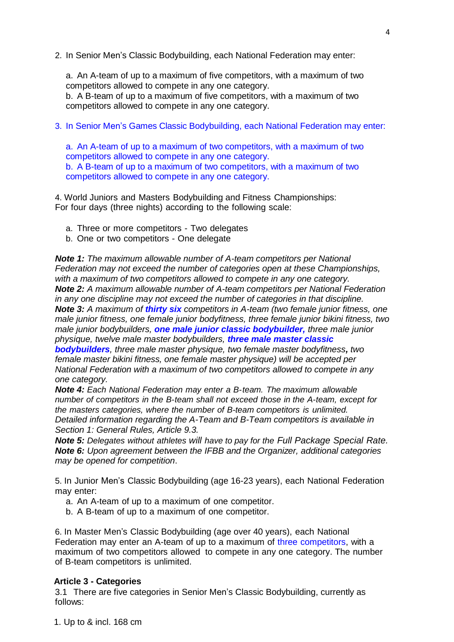2. In Senior Men's Classic Bodybuilding, each National Federation may enter:

a. An A-team of up to a maximum of five competitors, with a maximum of two competitors allowed to compete in any one category.

b. A B-team of up to a maximum of five competitors, with a maximum of two competitors allowed to compete in any one category.

3. In Senior Men's Games Classic Bodybuilding, each National Federation may enter:

a. An A-team of up to a maximum of two competitors, with a maximum of two competitors allowed to compete in any one category. b. A B-team of up to a maximum of two competitors, with a maximum of two

competitors allowed to compete in any one category.

4. World Juniors and Masters Bodybuilding and Fitness Championships: For four days (three nights) according to the following scale:

- a. Three or more competitors Two delegates
- b. One or two competitors One delegate

*Note 1: The maximum allowable number of A-team competitors per National Federation may not exceed the number of categories open at these Championships, with a maximum of two competitors allowed to compete in any one category. Note 2: A maximum allowable number of A-team competitors per National Federation in any one discipline may not exceed the number of categories in that discipline. Note 3: A maximum of thirty six competitors in A-team (two female junior fitness, one male junior fitness, one female junior bodyfitness, three female junior bikini fitness, two male junior bodybuilders, one male junior classic bodybuilder, three male junior physique, twelve male master bodybuilders, three male master classic* 

*bodybuilders, three male master physique, two female master bodyfitness, two female master bikini fitness, one female master physique) will be accepted per National Federation with a maximum of two competitors allowed to compete in any one category.*

*Note 4: Each National Federation may enter a B-team. The maximum allowable number of competitors in the B-team shall not exceed those in the A-team, except for the masters categories, where the number of B-team competitors is unlimited. Detailed information regarding the A-Team and B-Team competitors is available in Section 1: General Rules, Article 9.3.* 

*Note 5: Delegates without athletes will have to pay for the Full Package Special Rate. Note 6: Upon agreement between the IFBB and the Organizer, additional categories may be opened for competition*.

5. In Junior Men's Classic Bodybuilding (age 16-23 years), each National Federation may enter:

- a. An A-team of up to a maximum of one competitor.
- b. A B-team of up to a maximum of one competitor.

6. In Master Men's Classic Bodybuilding (age over 40 years), each National Federation may enter an A-team of up to a maximum of three competitors, with a maximum of two competitors allowed to compete in any one category. The number of B-team competitors is unlimited.

#### **Article 3 - Categories**

3.1 There are five categories in Senior Men's Classic Bodybuilding, currently as follows: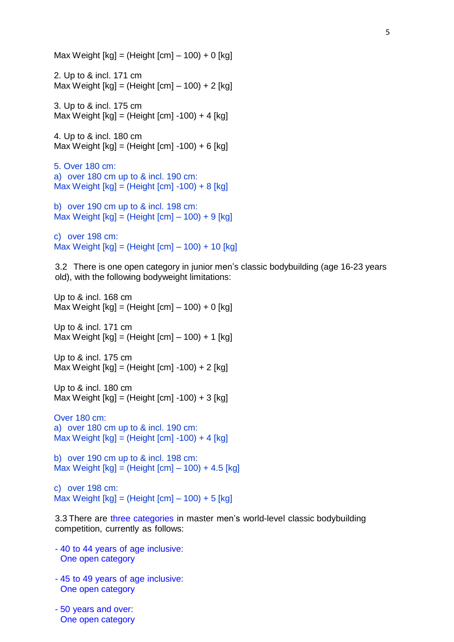Max Weight  $[kq] = (Height [cm] - 100) + 0 [kg]$ 2. Up to & incl. 171 cm Max Weight  $[kg] = (Height [cm] - 100) + 2 [kg]$ 3. Up to & incl. 175 cm Max Weight  $[kg] = (Height [cm] -100) + 4 [kg]$ 4. Up to & incl. 180 cm Max Weight  $[kg] = (Height [cm] -100) + 6 [kg]$ 5. Over 180 cm: a) over 180 cm up to & incl. 190 cm: Max Weight [kg] = (Height [cm] -100) + 8 [kg] b) over 190 cm up to & incl. 198 cm: Max Weight  $[kg] = (Height [cm] - 100) + 9 [kg]$ c) over 198 cm: Max Weight [kg] = (Height [cm] – 100) + 10 [kg] 3.2 There is one open category in junior men's classic bodybuilding (age 16-23 years old), with the following bodyweight limitations: Up to & incl. 168 cm Max Weight  $[kg] = (Height [cm] - 100) + 0 [kg]$ Up to & incl. 171 cm Max Weight  $[kg] = (Height [cm] - 100) + 1 [kg]$ Up to & incl. 175 cm Max Weight  $[kg] = (Height [cm] -100) + 2 [kg]$ Up to & incl. 180 cm Max Weight  $[kg] = (Height [cm] -100) + 3 [kg]$ Over 180 cm: a) over 180 cm up to & incl. 190 cm: Max Weight  $[kg] = (Height [cm] -100) + 4 [kg]$ b) over 190 cm up to & incl. 198 cm: Max Weight [kg] = (Height [cm] – 100) + 4.5 [kg] c) over 198 cm: Max Weight  $[kg] = (Height [cm] - 100) + 5 [kg]$ 

3.3 There are three categories in master men's world-level classic bodybuilding competition, currently as follows:

- 40 to 44 years of age inclusive: One open category
- 45 to 49 years of age inclusive: One open category
- 50 years and over: One open category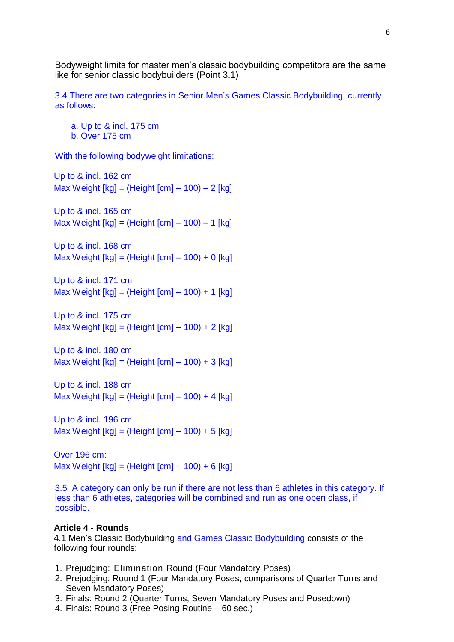Bodyweight limits for master men's classic bodybuilding competitors are the same like for senior classic bodybuilders (Point 3.1)

3.4 There are two categories in Senior Men's Games Classic Bodybuilding, currently as follows:

a. Up to & incl. 175 cm b. Over 175 cm

With the following bodyweight limitations:

Up to & incl. 162 cm Max Weight  $[kg] = (Height [cm] - 100) - 2 [kg]$ 

Up to & incl. 165 cm Max Weight  $[kg] = (Height [cm] - 100) - 1 [kg]$ 

Up to & incl. 168 cm Max Weight  $[kg] = (Height [cm] - 100) + 0 [kg]$ 

Up to & incl. 171 cm Max Weight  $[kg] = (Height [cm] - 100) + 1 [kg]$ 

Up to & incl. 175 cm Max Weight  $[kg] = (Height [cm] - 100) + 2 [kg]$ 

Up to & incl. 180 cm Max Weight  $[kg] = (Height [cm] - 100) + 3 [kg]$ 

Up to & incl. 188 cm Max Weight  $[kg] = (Height [cm] - 100) + 4 [kg]$ 

Up to & incl. 196 cm Max Weight  $[kg] = (Height [cm] - 100) + 5 [kg]$ 

Over 196 cm: Max Weight  $[kg] = (Height [cm] - 100) + 6 [kg]$ 

3.5 A category can only be run if there are not less than 6 athletes in this category. If less than 6 athletes, categories will be combined and run as one open class, if possible.

#### **Article 4 - Rounds**

4.1 Men's Classic Bodybuilding and Games Classic Bodybuilding consists of the following four rounds:

- 1. Prejudging: Elimination Round (Four Mandatory Poses)
- 2. Prejudging: Round 1 (Four Mandatory Poses, comparisons of Quarter Turns and Seven Mandatory Poses)
- 3. Finals: Round 2 (Quarter Turns, Seven Mandatory Poses and Posedown)
- 4. Finals: Round 3 (Free Posing Routine 60 sec.)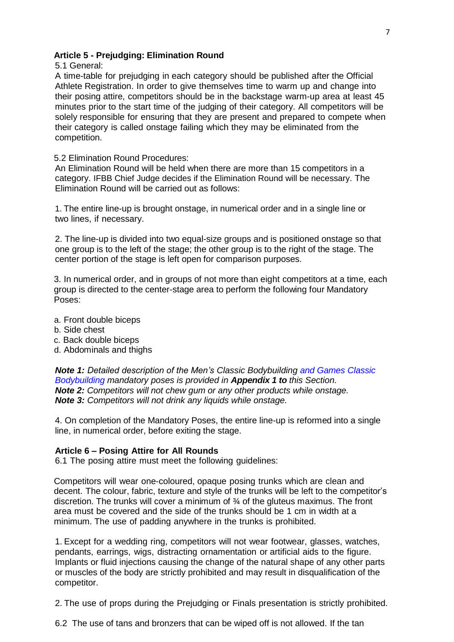## **Article 5 - Prejudging: Elimination Round**

5.1 General:

A time-table for prejudging in each category should be published after the Official Athlete Registration. In order to give themselves time to warm up and change into their posing attire, competitors should be in the backstage warm-up area at least 45 minutes prior to the start time of the judging of their category. All competitors will be solely responsible for ensuring that they are present and prepared to compete when their category is called onstage failing which they may be eliminated from the competition.

## 5.2 Elimination Round Procedures:

An Elimination Round will be held when there are more than 15 competitors in a category. IFBB Chief Judge decides if the Elimination Round will be necessary. The Elimination Round will be carried out as follows:

1. The entire line-up is brought onstage, in numerical order and in a single line or two lines, if necessary.

2. The line-up is divided into two equal-size groups and is positioned onstage so that one group is to the left of the stage; the other group is to the right of the stage. The center portion of the stage is left open for comparison purposes.

3. In numerical order, and in groups of not more than eight competitors at a time, each group is directed to the center-stage area to perform the following four Mandatory Poses:

- a. Front double biceps
- b. Side chest
- c. Back double biceps
- d. Abdominals and thighs

*Note 1: Detailed description of the Men's Classic Bodybuilding and Games Classic Bodybuilding mandatory poses is provided in Appendix 1 to this Section. Note 2: Competitors will not chew gum or any other products while onstage. Note 3: Competitors will not drink any liquids while onstage.*

4. On completion of the Mandatory Poses, the entire line-up is reformed into a single line, in numerical order, before exiting the stage.

# **Article 6 – Posing Attire for All Rounds**

6.1 The posing attire must meet the following guidelines:

Competitors will wear one-coloured, opaque posing trunks which are clean and decent. The colour, fabric, texture and style of the trunks will be left to the competitor's discretion. The trunks will cover a minimum of ¾ of the gluteus maximus. The front area must be covered and the side of the trunks should be 1 cm in width at a minimum. The use of padding anywhere in the trunks is prohibited.

1. Except for a wedding ring, competitors will not wear footwear, glasses, watches, pendants, earrings, wigs, distracting ornamentation or artificial aids to the figure. Implants or fluid injections causing the change of the natural shape of any other parts or muscles of the body are strictly prohibited and may result in disqualification of the competitor.

2. The use of props during the Prejudging or Finals presentation is strictly prohibited.

6.2 The use of tans and bronzers that can be wiped off is not allowed. If the tan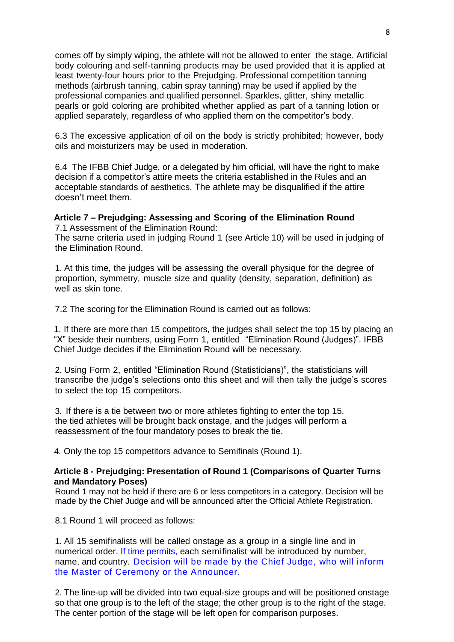comes off by simply wiping, the athlete will not be allowed to enter the stage. Artificial body colouring and self-tanning products may be used provided that it is applied at least twenty-four hours prior to the Prejudging. Professional competition tanning methods (airbrush tanning, cabin spray tanning) may be used if applied by the professional companies and qualified personnel. Sparkles, glitter, shiny metallic pearls or gold coloring are prohibited whether applied as part of a tanning lotion or applied separately, regardless of who applied them on the competitor's body.

6.3 The excessive application of oil on the body is strictly prohibited; however, body oils and moisturizers may be used in moderation.

6.4 The IFBB Chief Judge, or a delegated by him official, will have the right to make decision if a competitor's attire meets the criteria established in the Rules and an acceptable standards of aesthetics. The athlete may be disqualified if the attire doesn't meet them.

# **Article 7 – Prejudging: Assessing and Scoring of the Elimination Round**

7.1 Assessment of the Elimination Round: The same criteria used in judging Round 1 (see Article 10) will be used in judging of the Elimination Round.

1. At this time, the judges will be assessing the overall physique for the degree of proportion, symmetry, muscle size and quality (density, separation, definition) as well as skin tone.

7.2 The scoring for the Elimination Round is carried out as follows:

1. If there are more than 15 competitors, the judges shall select the top 15 by placing an "X" beside their numbers, using Form 1, entitled "Elimination Round (Judges)". IFBB Chief Judge decides if the Elimination Round will be necessary.

2. Using Form 2, entitled "Elimination Round (Statisticians)", the statisticians will transcribe the judge's selections onto this sheet and will then tally the judge's scores to select the top 15 competitors.

3. If there is a tie between two or more athletes fighting to enter the top 15, the tied athletes will be brought back onstage, and the judges will perform a reassessment of the four mandatory poses to break the tie.

4. Only the top 15 competitors advance to Semifinals (Round 1).

# **Article 8 - Prejudging: Presentation of Round 1 (Comparisons of Quarter Turns and Mandatory Poses)**

Round 1 may not be held if there are 6 or less competitors in a category. Decision will be made by the Chief Judge and will be announced after the Official Athlete Registration.

8.1 Round 1 will proceed as follows:

1. All 15 semifinalists will be called onstage as a group in a single line and in numerical order. If time permits, each semifinalist will be introduced by number, name, and country. Decision will be made by the Chief Judge, who will inform the Master of Ceremony or the Announcer.

2. The line-up will be divided into two equal-size groups and will be positioned onstage so that one group is to the left of the stage; the other group is to the right of the stage. The center portion of the stage will be left open for comparison purposes.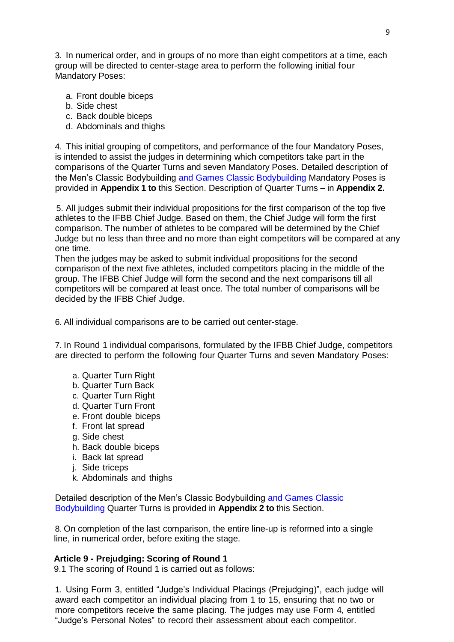3. In numerical order, and in groups of no more than eight competitors at a time, each group will be directed to center-stage area to perform the following initial four Mandatory Poses:

- a. Front double biceps
- b. Side chest
- c. Back double biceps
- d. Abdominals and thighs

4. This initial grouping of competitors, and performance of the four Mandatory Poses, is intended to assist the judges in determining which competitors take part in the comparisons of the Quarter Turns and seven Mandatory Poses. Detailed description of the Men's Classic Bodybuilding and Games Classic Bodybuilding Mandatory Poses is provided in **Appendix 1 to** this Section. Description of Quarter Turns – in **Appendix 2.**

5. All judges submit their individual propositions for the first comparison of the top five athletes to the IFBB Chief Judge. Based on them, the Chief Judge will form the first comparison. The number of athletes to be compared will be determined by the Chief Judge but no less than three and no more than eight competitors will be compared at any one time.

Then the judges may be asked to submit individual propositions for the second comparison of the next five athletes, included competitors placing in the middle of the group. The IFBB Chief Judge will form the second and the next comparisons till all competitors will be compared at least once. The total number of comparisons will be decided by the IFBB Chief Judge.

6. All individual comparisons are to be carried out center-stage.

7. In Round 1 individual comparisons, formulated by the IFBB Chief Judge, competitors are directed to perform the following four Quarter Turns and seven Mandatory Poses:

- a. Quarter Turn Right
- b. Quarter Turn Back
- c. Quarter Turn Right
- d. Quarter Turn Front
- e. Front double biceps
- f. Front lat spread
- g. Side chest
- h. Back double biceps
- i. Back lat spread
- j. Side triceps
- k. Abdominals and thighs

Detailed description of the Men's Classic Bodybuilding and Games Classic Bodybuilding Quarter Turns is provided in **Appendix 2 to** this Section.

8. On completion of the last comparison, the entire line-up is reformed into a single line, in numerical order, before exiting the stage.

#### **Article 9 - Prejudging: Scoring of Round 1**

9.1 The scoring of Round 1 is carried out as follows:

1. Using Form 3, entitled "Judge's Individual Placings (Prejudging)", each judge will award each competitor an individual placing from 1 to 15, ensuring that no two or more competitors receive the same placing. The judges may use Form 4, entitled "Judge's Personal Notes" to record their assessment about each competitor.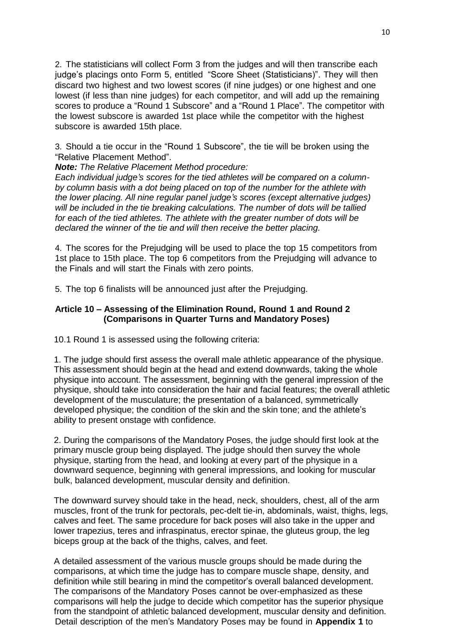2. The statisticians will collect Form 3 from the judges and will then transcribe each judge's placings onto Form 5, entitled "Score Sheet (Statisticians)". They will then discard two highest and two lowest scores (if nine judges) or one highest and one lowest (if less than nine judges) for each competitor, and will add up the remaining scores to produce a "Round 1 Subscore" and a "Round 1 Place". The competitor with the lowest subscore is awarded 1st place while the competitor with the highest subscore is awarded 15th place.

3. Should a tie occur in the "Round 1 Subscore", the tie will be broken using the "Relative Placement Method".

*Note: The Relative Placement Method procedure:*

*Each individual judge's scores for the tied athletes will be compared on a columnby column basis with a dot being placed on top of the number for the athlete with the lower placing. All nine regular panel judge's scores (except alternative judges) will be included in the tie breaking calculations. The number of dots will be tallied for each of the tied athletes. The athlete with the greater number of dots will be declared the winner of the tie and will then receive the better placing.*

4. The scores for the Prejudging will be used to place the top 15 competitors from 1st place to 15th place. The top 6 competitors from the Prejudging will advance to the Finals and will start the Finals with zero points.

5. The top 6 finalists will be announced just after the Prejudging.

# **Article 10 – Assessing of the Elimination Round, Round 1 and Round 2 (Comparisons in Quarter Turns and Mandatory Poses)**

10.1 Round 1 is assessed using the following criteria:

1. The judge should first assess the overall male athletic appearance of the physique. This assessment should begin at the head and extend downwards, taking the whole physique into account. The assessment, beginning with the general impression of the physique, should take into consideration the hair and facial features; the overall athletic development of the musculature; the presentation of a balanced, symmetrically developed physique; the condition of the skin and the skin tone; and the athlete's ability to present onstage with confidence.

2. During the comparisons of the Mandatory Poses, the judge should first look at the primary muscle group being displayed. The judge should then survey the whole physique, starting from the head, and looking at every part of the physique in a downward sequence, beginning with general impressions, and looking for muscular bulk, balanced development, muscular density and definition.

The downward survey should take in the head, neck, shoulders, chest, all of the arm muscles, front of the trunk for pectorals, pec-delt tie-in, abdominals, waist, thighs, legs, calves and feet. The same procedure for back poses will also take in the upper and lower trapezius, teres and infraspinatus, erector spinae, the gluteus group, the leg biceps group at the back of the thighs, calves, and feet.

A detailed assessment of the various muscle groups should be made during the comparisons, at which time the judge has to compare muscle shape, density, and definition while still bearing in mind the competitor's overall balanced development. The comparisons of the Mandatory Poses cannot be over-emphasized as these comparisons will help the judge to decide which competitor has the superior physique from the standpoint of athletic balanced development, muscular density and definition. Detail description of the men's Mandatory Poses may be found in **Appendix 1** to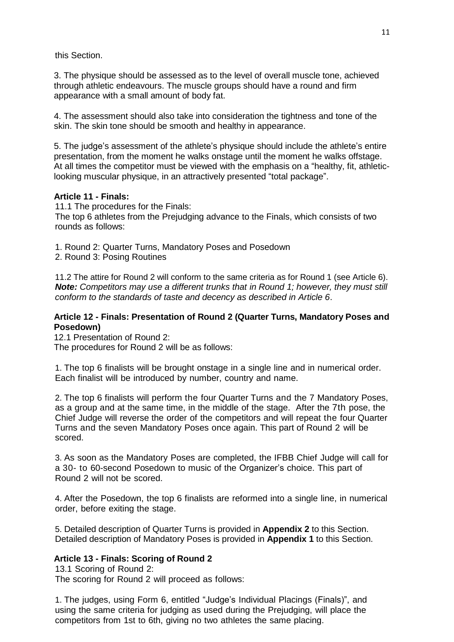this Section.

3. The physique should be assessed as to the level of overall muscle tone, achieved through athletic endeavours. The muscle groups should have a round and firm appearance with a small amount of body fat.

4. The assessment should also take into consideration the tightness and tone of the skin. The skin tone should be smooth and healthy in appearance.

5. The judge's assessment of the athlete's physique should include the athlete's entire presentation, from the moment he walks onstage until the moment he walks offstage. At all times the competitor must be viewed with the emphasis on a "healthy, fit, athleticlooking muscular physique, in an attractively presented "total package".

# **Article 11 - Finals:**

11.1 The procedures for the Finals: The top 6 athletes from the Prejudging advance to the Finals, which consists of two rounds as follows:

1. Round 2: Quarter Turns, Mandatory Poses and Posedown

2. Round 3: Posing Routines

11.2 The attire for Round 2 will conform to the same criteria as for Round 1 (see Article 6). *Note: Competitors may use a different trunks that in Round 1; however, they must still conform to the standards of taste and decency as described in Article 6*.

# **Article 12 - Finals: Presentation of Round 2 (Quarter Turns, Mandatory Poses and Posedown)**

12.1 Presentation of Round 2:

The procedures for Round 2 will be as follows:

1. The top 6 finalists will be brought onstage in a single line and in numerical order. Each finalist will be introduced by number, country and name.

2. The top 6 finalists will perform the four Quarter Turns and the 7 Mandatory Poses, as a group and at the same time, in the middle of the stage. After the 7th pose, the Chief Judge will reverse the order of the competitors and will repeat the four Quarter Turns and the seven Mandatory Poses once again. This part of Round 2 will be scored.

3. As soon as the Mandatory Poses are completed, the IFBB Chief Judge will call for a 30- to 60-second Posedown to music of the Organizer's choice. This part of Round 2 will not be scored.

4. After the Posedown, the top 6 finalists are reformed into a single line, in numerical order, before exiting the stage.

5. Detailed description of Quarter Turns is provided in **Appendix 2** to this Section. Detailed description of Mandatory Poses is provided in **Appendix 1** to this Section.

# **Article 13 - Finals: Scoring of Round 2**

13.1 Scoring of Round 2: The scoring for Round 2 will proceed as follows:

1. The judges, using Form 6, entitled "Judge's Individual Placings (Finals)", and using the same criteria for judging as used during the Prejudging, will place the competitors from 1st to 6th, giving no two athletes the same placing.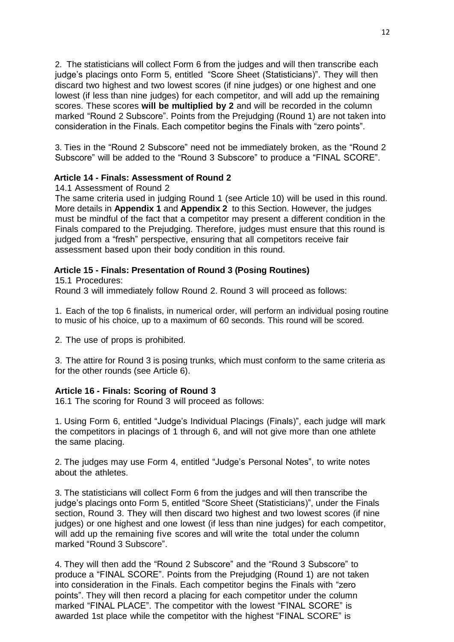2. The statisticians will collect Form 6 from the judges and will then transcribe each judge's placings onto Form 5, entitled "Score Sheet (Statisticians)". They will then discard two highest and two lowest scores (if nine judges) or one highest and one lowest (if less than nine judges) for each competitor, and will add up the remaining scores. These scores **will be multiplied by 2** and will be recorded in the column marked "Round 2 Subscore". Points from the Prejudging (Round 1) are not taken into consideration in the Finals. Each competitor begins the Finals with "zero points".

3. Ties in the "Round 2 Subscore" need not be immediately broken, as the "Round 2 Subscore" will be added to the "Round 3 Subscore" to produce a "FINAL SCORE".

# **Article 14 - Finals: Assessment of Round 2**

### 14.1 Assessment of Round 2

The same criteria used in judging Round 1 (see Article 10) will be used in this round. More details in **Appendix 1** and **Appendix 2** to this Section. However, the judges must be mindful of the fact that a competitor may present a different condition in the Finals compared to the Prejudging. Therefore, judges must ensure that this round is judged from a "fresh" perspective, ensuring that all competitors receive fair assessment based upon their body condition in this round.

# **Article 15 - Finals: Presentation of Round 3 (Posing Routines)**

15.1 Procedures: Round 3 will immediately follow Round 2. Round 3 will proceed as follows:

1. Each of the top 6 finalists, in numerical order, will perform an individual posing routine to music of his choice, up to a maximum of 60 seconds. This round will be scored.

2. The use of props is prohibited.

3. The attire for Round 3 is posing trunks, which must conform to the same criteria as for the other rounds (see Article 6).

#### **Article 16 - Finals: Scoring of Round 3**

16.1 The scoring for Round 3 will proceed as follows:

1. Using Form 6, entitled "Judge's Individual Placings (Finals)", each judge will mark the competitors in placings of 1 through 6, and will not give more than one athlete the same placing.

2. The judges may use Form 4, entitled "Judge's Personal Notes", to write notes about the athletes.

3. The statisticians will collect Form 6 from the judges and will then transcribe the judge's placings onto Form 5, entitled "Score Sheet (Statisticians)", under the Finals section, Round 3. They will then discard two highest and two lowest scores (if nine judges) or one highest and one lowest (if less than nine judges) for each competitor, will add up the remaining five scores and will write the total under the column marked "Round 3 Subscore".

4. They will then add the "Round 2 Subscore" and the "Round 3 Subscore" to produce a "FINAL SCORE". Points from the Prejudging (Round 1) are not taken into consideration in the Finals. Each competitor begins the Finals with "zero points". They will then record a placing for each competitor under the column marked "FINAL PLACE". The competitor with the lowest "FINAL SCORE" is awarded 1st place while the competitor with the highest "FINAL SCORE" is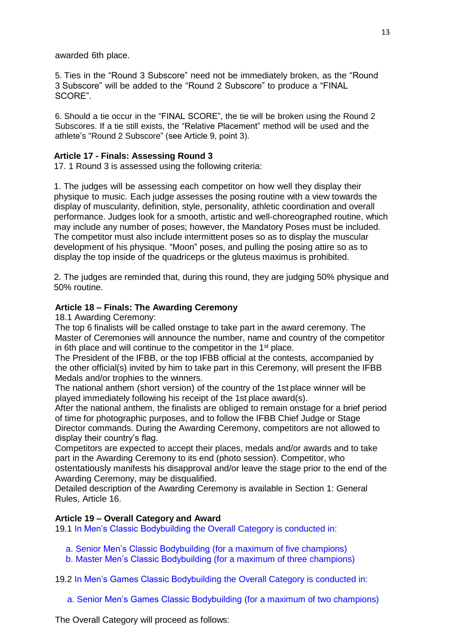awarded 6th place.

5. Ties in the "Round 3 Subscore" need not be immediately broken, as the "Round 3 Subscore" will be added to the "Round 2 Subscore" to produce a "FINAL SCORE".

6. Should a tie occur in the "FINAL SCORE", the tie will be broken using the Round 2 Subscores. If a tie still exists, the "Relative Placement" method will be used and the athlete's "Round 2 Subscore" (see Article 9, point 3).

# **Article 17 - Finals: Assessing Round 3**

17. 1 Round 3 is assessed using the following criteria:

1. The judges will be assessing each competitor on how well they display their physique to music. Each judge assesses the posing routine with a view towards the display of muscularity, definition, style, personality, athletic coordination and overall performance. Judges look for a smooth, artistic and well-choreographed routine, which may include any number of poses; however, the Mandatory Poses must be included. The competitor must also include intermittent poses so as to display the muscular development of his physique. "Moon" poses, and pulling the posing attire so as to display the top inside of the quadriceps or the gluteus maximus is prohibited.

2. The judges are reminded that, during this round, they are judging 50% physique and 50% routine.

# **Article 18 – Finals: The Awarding Ceremony**

18.1 Awarding Ceremony:

The top 6 finalists will be called onstage to take part in the award ceremony. The Master of Ceremonies will announce the number, name and country of the competitor in 6th place and will continue to the competitor in the 1st place.

The President of the IFBB, or the top IFBB official at the contests, accompanied by the other official(s) invited by him to take part in this Ceremony, will present the IFBB Medals and/or trophies to the winners.

The national anthem (short version) of the country of the 1st place winner will be played immediately following his receipt of the 1st place award(s).

After the national anthem, the finalists are obliged to remain onstage for a brief period of time for photographic purposes, and to follow the IFBB Chief Judge or Stage Director commands. During the Awarding Ceremony, competitors are not allowed to display their country's flag.

Competitors are expected to accept their places, medals and/or awards and to take part in the Awarding Ceremony to its end (photo session). Competitor, who ostentatiously manifests his disapproval and/or leave the stage prior to the end of the Awarding Ceremony, may be disqualified.

Detailed description of the Awarding Ceremony is available in Section 1: General Rules, Article 16.

# **Article 19 – Overall Category and Award**

19.1 In Men's Classic Bodybuilding the Overall Category is conducted in:

a. Senior Men's Classic Bodybuilding (for a maximum of five champions)

b. Master Men's Classic Bodybuilding (for a maximum of three champions)

19.2 In Men's Games Classic Bodybuilding the Overall Category is conducted in:

a. Senior Men's Games Classic Bodybuilding (for a maximum of two champions)

The Overall Category will proceed as follows: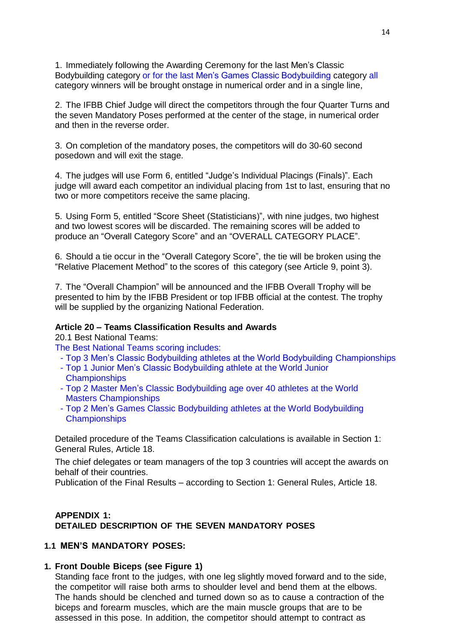1. Immediately following the Awarding Ceremony for the last Men's Classic Bodybuilding category or for the last Men's Games Classic Bodybuilding category all category winners will be brought onstage in numerical order and in a single line,

2. The IFBB Chief Judge will direct the competitors through the four Quarter Turns and the seven Mandatory Poses performed at the center of the stage, in numerical order and then in the reverse order.

3. On completion of the mandatory poses, the competitors will do 30-60 second posedown and will exit the stage.

4. The judges will use Form 6, entitled "Judge's Individual Placings (Finals)". Each judge will award each competitor an individual placing from 1st to last, ensuring that no two or more competitors receive the same placing.

5. Using Form 5, entitled "Score Sheet (Statisticians)", with nine judges, two highest and two lowest scores will be discarded. The remaining scores will be added to produce an "Overall Category Score" and an "OVERALL CATEGORY PLACE".

6. Should a tie occur in the "Overall Category Score", the tie will be broken using the "Relative Placement Method" to the scores of this category (see Article 9, point 3).

7. The "Overall Champion" will be announced and the IFBB Overall Trophy will be presented to him by the IFBB President or top IFBB official at the contest. The trophy will be supplied by the organizing National Federation.

# **Article 20 – Teams Classification Results and Awards**

20.1 Best National Teams:

The Best National Teams scoring includes:

- Top 3 Men's Classic Bodybuilding athletes at the World Bodybuilding Championships
- Top 1 Junior Men's Classic Bodybuilding athlete at the World Junior **Championships**
- Top 2 Master Men's Classic Bodybuilding age over 40 athletes at the World Masters Championships
- Top 2 Men's Games Classic Bodybuilding athletes at the World Bodybuilding **Championships**

Detailed procedure of the Teams Classification calculations is available in Section 1: General Rules, Article 18.

The chief delegates or team managers of the top 3 countries will accept the awards on behalf of their countries.

Publication of the Final Results – according to Section 1: General Rules, Article 18.

# **APPENDIX 1: DETAILED DESCRIPTION OF THE SEVEN MANDATORY POSES**

#### **1.1 MEN'S MANDATORY POSES:**

#### **1. Front Double Biceps (see Figure 1)**

Standing face front to the judges, with one leg slightly moved forward and to the side, the competitor will raise both arms to shoulder level and bend them at the elbows. The hands should be clenched and turned down so as to cause a contraction of the biceps and forearm muscles, which are the main muscle groups that are to be assessed in this pose. In addition, the competitor should attempt to contract as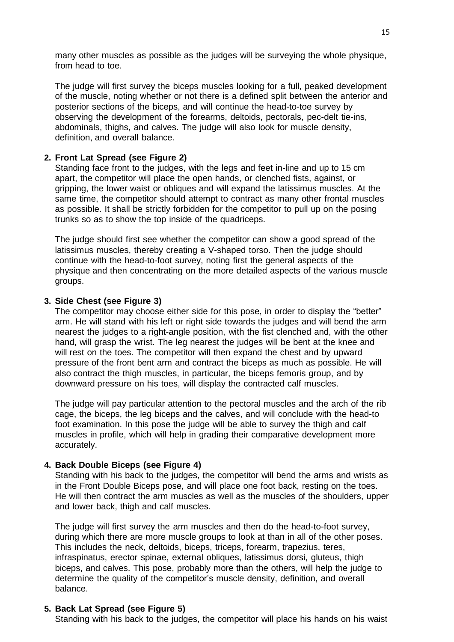many other muscles as possible as the judges will be surveying the whole physique, from head to toe.

The judge will first survey the biceps muscles looking for a full, peaked development of the muscle, noting whether or not there is a defined split between the anterior and posterior sections of the biceps, and will continue the head-to-toe survey by observing the development of the forearms, deltoids, pectorals, pec-delt tie-ins, abdominals, thighs, and calves. The judge will also look for muscle density, definition, and overall balance.

# **2. Front Lat Spread (see Figure 2)**

Standing face front to the judges, with the legs and feet in-line and up to 15 cm apart, the competitor will place the open hands, or clenched fists, against, or gripping, the lower waist or obliques and will expand the latissimus muscles. At the same time, the competitor should attempt to contract as many other frontal muscles as possible. It shall be strictly forbidden for the competitor to pull up on the posing trunks so as to show the top inside of the quadriceps.

The judge should first see whether the competitor can show a good spread of the latissimus muscles, thereby creating a V-shaped torso. Then the judge should continue with the head-to-foot survey, noting first the general aspects of the physique and then concentrating on the more detailed aspects of the various muscle groups.

#### **3. Side Chest (see Figure 3)**

The competitor may choose either side for this pose, in order to display the "better" arm. He will stand with his left or right side towards the judges and will bend the arm nearest the judges to a right-angle position, with the fist clenched and, with the other hand, will grasp the wrist. The leg nearest the judges will be bent at the knee and will rest on the toes. The competitor will then expand the chest and by upward pressure of the front bent arm and contract the biceps as much as possible. He will also contract the thigh muscles, in particular, the biceps femoris group, and by downward pressure on his toes, will display the contracted calf muscles.

The judge will pay particular attention to the pectoral muscles and the arch of the rib cage, the biceps, the leg biceps and the calves, and will conclude with the head-to foot examination. In this pose the judge will be able to survey the thigh and calf muscles in profile, which will help in grading their comparative development more accurately.

# **4. Back Double Biceps (see Figure 4)**

Standing with his back to the judges, the competitor will bend the arms and wrists as in the Front Double Biceps pose, and will place one foot back, resting on the toes. He will then contract the arm muscles as well as the muscles of the shoulders, upper and lower back, thigh and calf muscles.

The judge will first survey the arm muscles and then do the head-to-foot survey, during which there are more muscle groups to look at than in all of the other poses. This includes the neck, deltoids, biceps, triceps, forearm, trapezius, teres, infraspinatus, erector spinae, external obliques, latissimus dorsi, gluteus, thigh biceps, and calves. This pose, probably more than the others, will help the judge to determine the quality of the competitor's muscle density, definition, and overall balance.

# **5. Back Lat Spread (see Figure 5)**

Standing with his back to the judges, the competitor will place his hands on his waist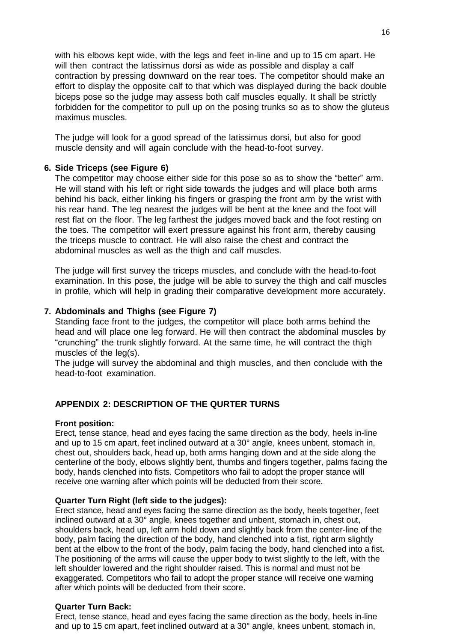with his elbows kept wide, with the legs and feet in-line and up to 15 cm apart. He will then contract the latissimus dorsi as wide as possible and display a calf contraction by pressing downward on the rear toes. The competitor should make an effort to display the opposite calf to that which was displayed during the back double biceps pose so the judge may assess both calf muscles equally. It shall be strictly forbidden for the competitor to pull up on the posing trunks so as to show the gluteus maximus muscles.

The judge will look for a good spread of the latissimus dorsi, but also for good muscle density and will again conclude with the head-to-foot survey.

# **6. Side Triceps (see Figure 6)**

The competitor may choose either side for this pose so as to show the "better" arm. He will stand with his left or right side towards the judges and will place both arms behind his back, either linking his fingers or grasping the front arm by the wrist with his rear hand. The leg nearest the judges will be bent at the knee and the foot will rest flat on the floor. The leg farthest the judges moved back and the foot resting on the toes. The competitor will exert pressure against his front arm, thereby causing the triceps muscle to contract. He will also raise the chest and contract the abdominal muscles as well as the thigh and calf muscles.

The judge will first survey the triceps muscles, and conclude with the head-to-foot examination. In this pose, the judge will be able to survey the thigh and calf muscles in profile, which will help in grading their comparative development more accurately.

# **7. Abdominals and Thighs (see Figure 7)**

Standing face front to the judges, the competitor will place both arms behind the head and will place one leg forward. He will then contract the abdominal muscles by "crunching" the trunk slightly forward. At the same time, he will contract the thigh muscles of the leg(s).

The judge will survey the abdominal and thigh muscles, and then conclude with the head-to-foot examination.

#### **APPENDIX 2: DESCRIPTION OF THE QURTER TURNS**

#### **Front position:**

Erect, tense stance, head and eyes facing the same direction as the body, heels in-line and up to 15 cm apart, feet inclined outward at a 30° angle, knees unbent, stomach in, chest out, shoulders back, head up, both arms hanging down and at the side along the centerline of the body, elbows slightly bent, thumbs and fingers together, palms facing the body, hands clenched into fists. Competitors who fail to adopt the proper stance will receive one warning after which points will be deducted from their score.

#### **Quarter Turn Right (left side to the judges):**

Erect stance, head and eyes facing the same direction as the body, heels together, feet inclined outward at a 30° angle, knees together and unbent, stomach in, chest out, shoulders back, head up, left arm hold down and slightly back from the center-line of the body, palm facing the direction of the body, hand clenched into a fist, right arm slightly bent at the elbow to the front of the body, palm facing the body, hand clenched into a fist. The positioning of the arms will cause the upper body to twist slightly to the left, with the left shoulder lowered and the right shoulder raised. This is normal and must not be exaggerated. Competitors who fail to adopt the proper stance will receive one warning after which points will be deducted from their score.

#### **Quarter Turn Back:**

Erect, tense stance, head and eyes facing the same direction as the body, heels in-line and up to 15 cm apart, feet inclined outward at a 30° angle, knees unbent, stomach in,